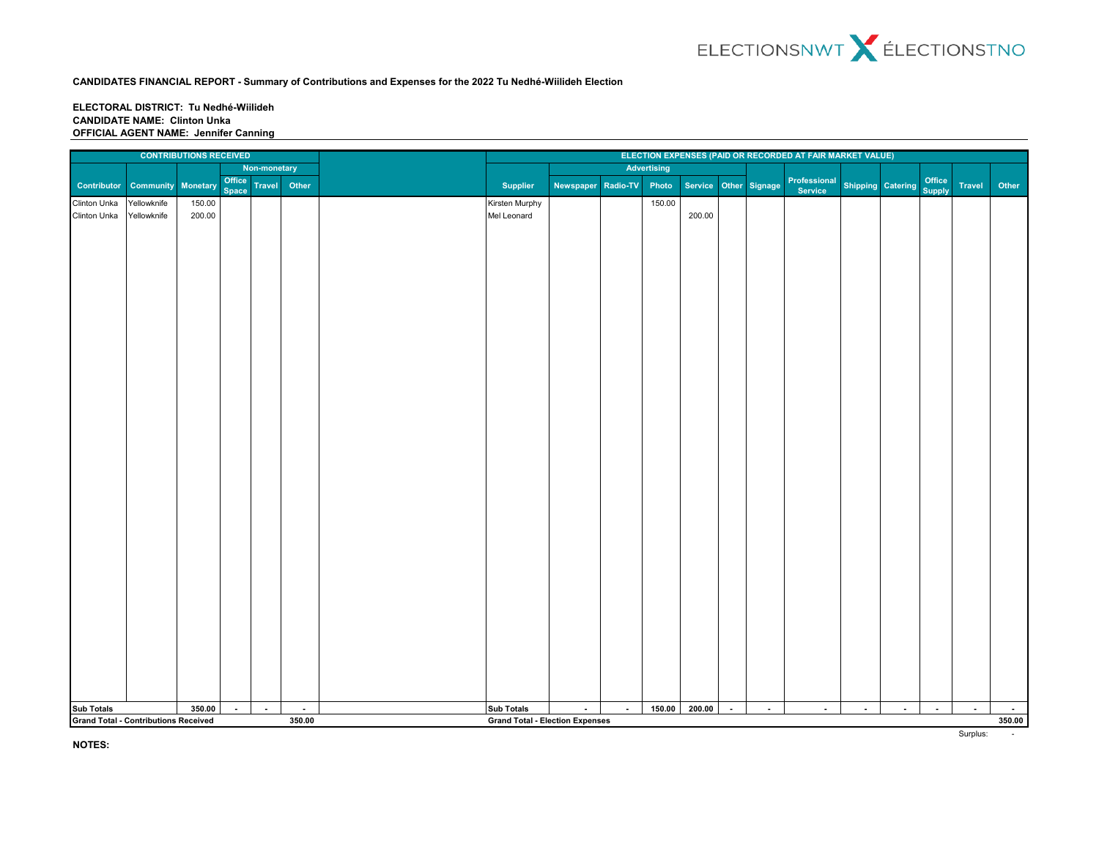### **ELECTORAL DISTRICT: Tu Nedhé-Wiilideh CANDIDATE NAME: Clinton Unka OFFICIAL AGENT NAME: Jennifer Canning**

|                                                       |                           | <b>CONTRIBUTIONS RECEIVED</b> |                 |               |        |  | ELECTION EXPENSES (PAID OR RECORDED AT FAIR MARKET VALUE) |                    |                |             |                       |                |        |                         |                          |        |                  |               |        |
|-------------------------------------------------------|---------------------------|-------------------------------|-----------------|---------------|--------|--|-----------------------------------------------------------|--------------------|----------------|-------------|-----------------------|----------------|--------|-------------------------|--------------------------|--------|------------------|---------------|--------|
|                                                       |                           |                               |                 | Non-monetary  |        |  |                                                           |                    |                | Advertising |                       |                |        |                         |                          |        |                  |               |        |
| Contributor                                           | <b>Community Monetary</b> |                               | Office<br>Space | <b>Travel</b> | Other  |  | <b>Supplier</b>                                           | Newspaper Radio-TV |                | Photo       | Service Other Signage |                |        | Professional<br>Service | <b>Shipping Catering</b> |        | Office<br>Supply | <b>Travel</b> | Other  |
| Clinton Unka                                          | Yellowknife               | 150.00                        |                 |               |        |  | Kirsten Murphy                                            |                    |                | 150.00      |                       |                |        |                         |                          |        |                  |               |        |
| Clinton Unka                                          | Yellowknife               | 200.00                        |                 |               |        |  | Mel Leonard                                               |                    |                |             | 200.00                |                |        |                         |                          |        |                  |               |        |
|                                                       |                           |                               |                 |               |        |  |                                                           |                    |                |             |                       |                |        |                         |                          |        |                  |               |        |
|                                                       |                           |                               |                 |               |        |  |                                                           |                    |                |             |                       |                |        |                         |                          |        |                  |               |        |
|                                                       |                           |                               |                 |               |        |  |                                                           |                    |                |             |                       |                |        |                         |                          |        |                  |               |        |
|                                                       |                           |                               |                 |               |        |  |                                                           |                    |                |             |                       |                |        |                         |                          |        |                  |               |        |
|                                                       |                           |                               |                 |               |        |  |                                                           |                    |                |             |                       |                |        |                         |                          |        |                  |               |        |
|                                                       |                           |                               |                 |               |        |  |                                                           |                    |                |             |                       |                |        |                         |                          |        |                  |               |        |
|                                                       |                           |                               |                 |               |        |  |                                                           |                    |                |             |                       |                |        |                         |                          |        |                  |               |        |
|                                                       |                           |                               |                 |               |        |  |                                                           |                    |                |             |                       |                |        |                         |                          |        |                  |               |        |
|                                                       |                           |                               |                 |               |        |  |                                                           |                    |                |             |                       |                |        |                         |                          |        |                  |               |        |
|                                                       |                           |                               |                 |               |        |  |                                                           |                    |                |             |                       |                |        |                         |                          |        |                  |               |        |
|                                                       |                           |                               |                 |               |        |  |                                                           |                    |                |             |                       |                |        |                         |                          |        |                  |               |        |
|                                                       |                           |                               |                 |               |        |  |                                                           |                    |                |             |                       |                |        |                         |                          |        |                  |               |        |
|                                                       |                           |                               |                 |               |        |  |                                                           |                    |                |             |                       |                |        |                         |                          |        |                  |               |        |
|                                                       |                           |                               |                 |               |        |  |                                                           |                    |                |             |                       |                |        |                         |                          |        |                  |               |        |
|                                                       |                           |                               |                 |               |        |  |                                                           |                    |                |             |                       |                |        |                         |                          |        |                  |               |        |
|                                                       |                           |                               |                 |               |        |  |                                                           |                    |                |             |                       |                |        |                         |                          |        |                  |               |        |
|                                                       |                           |                               |                 |               |        |  |                                                           |                    |                |             |                       |                |        |                         |                          |        |                  |               |        |
|                                                       |                           |                               |                 |               |        |  |                                                           |                    |                |             |                       |                |        |                         |                          |        |                  |               |        |
|                                                       |                           |                               |                 |               |        |  |                                                           |                    |                |             |                       |                |        |                         |                          |        |                  |               |        |
|                                                       |                           |                               |                 |               |        |  |                                                           |                    |                |             |                       |                |        |                         |                          |        |                  |               |        |
|                                                       |                           |                               |                 |               |        |  |                                                           |                    |                |             |                       |                |        |                         |                          |        |                  |               |        |
|                                                       |                           |                               |                 |               |        |  |                                                           |                    |                |             |                       |                |        |                         |                          |        |                  |               |        |
|                                                       |                           |                               |                 |               |        |  |                                                           |                    |                |             |                       |                |        |                         |                          |        |                  |               |        |
|                                                       |                           |                               |                 |               |        |  |                                                           |                    |                |             |                       |                |        |                         |                          |        |                  |               |        |
|                                                       |                           |                               |                 |               |        |  |                                                           |                    |                |             |                       |                |        |                         |                          |        |                  |               |        |
|                                                       |                           |                               |                 |               |        |  |                                                           |                    |                |             |                       |                |        |                         |                          |        |                  |               |        |
|                                                       |                           |                               |                 |               |        |  |                                                           |                    |                |             |                       |                |        |                         |                          |        |                  |               |        |
|                                                       |                           |                               |                 |               |        |  |                                                           |                    |                |             |                       |                |        |                         |                          |        |                  |               |        |
|                                                       |                           |                               |                 |               |        |  |                                                           |                    |                |             |                       |                |        |                         |                          |        |                  |               |        |
|                                                       |                           |                               |                 |               |        |  |                                                           |                    |                |             |                       |                |        |                         |                          |        |                  |               |        |
|                                                       |                           |                               |                 |               |        |  |                                                           |                    |                |             |                       |                |        |                         |                          |        |                  |               |        |
|                                                       |                           |                               |                 |               |        |  |                                                           |                    |                |             |                       |                |        |                         |                          |        |                  |               |        |
|                                                       |                           |                               |                 |               |        |  |                                                           |                    |                |             |                       |                |        |                         |                          |        |                  |               |        |
| <b>Sub Totals</b>                                     |                           | 350.00                        | $\blacksquare$  | $\sim$        | $\sim$ |  | <b>Sub Totals</b>                                         | $\sim$             | $\blacksquare$ | 150.00      | 200.00                | $\blacksquare$ | $\sim$ | $\sim$                  | $\sim$                   | $\sim$ | $\sim$           | $\sim$        | $\sim$ |
| <b>Grand Total - Contributions Received</b><br>350.00 |                           |                               |                 |               |        |  | <b>Grand Total - Election Expenses</b>                    |                    |                |             |                       |                |        |                         |                          |        |                  |               | 350.00 |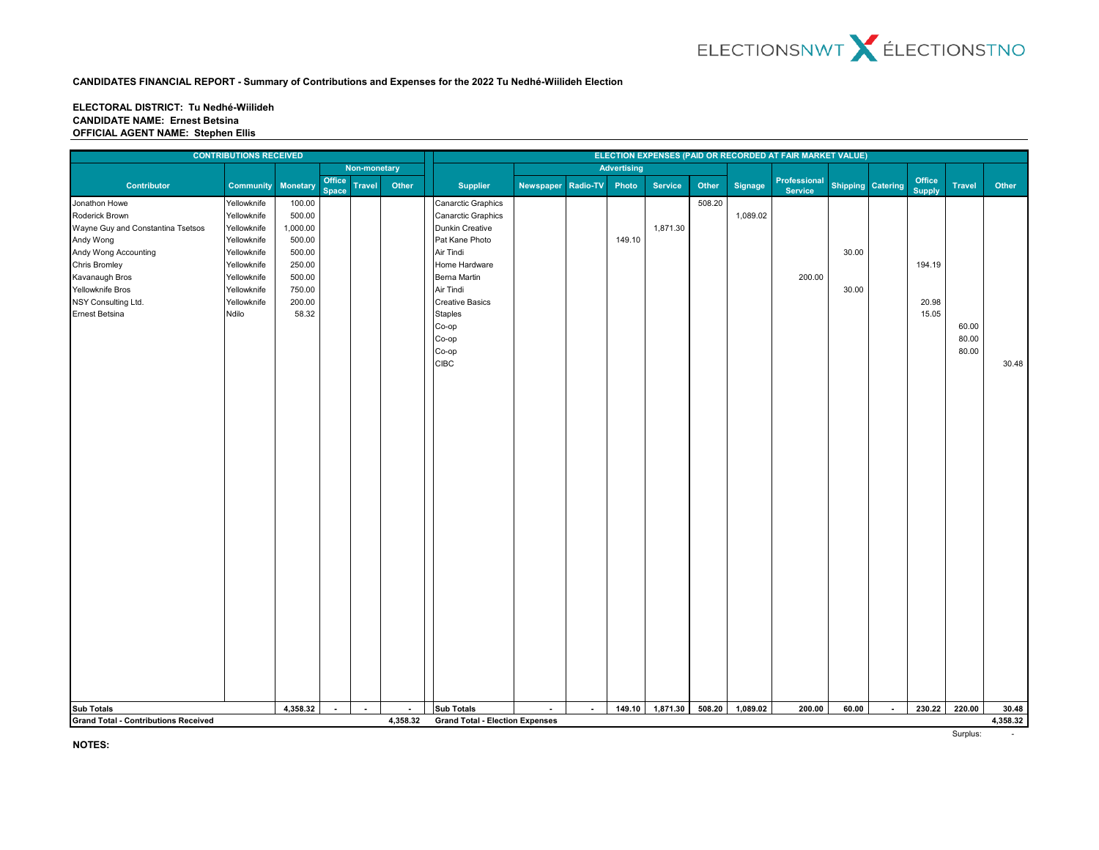#### **ELECTORAL DISTRICT: Tu Nedhé-Wiilideh CANDIDATE NAME: Ernest Betsina OFFICIAL AGENT NAME: Stephen Ellis**

|                                                                                                                            | <b>CONTRIBUTIONS RECEIVED</b> |          |                        |               |          |                                        |                  |                 |                    |                |        |                | ELECTION EXPENSES (PAID OR RECORDED AT FAIR MARKET VALUE) |                   |                |                         |               |                   |
|----------------------------------------------------------------------------------------------------------------------------|-------------------------------|----------|------------------------|---------------|----------|----------------------------------------|------------------|-----------------|--------------------|----------------|--------|----------------|-----------------------------------------------------------|-------------------|----------------|-------------------------|---------------|-------------------|
|                                                                                                                            |                               |          |                        | Non-monetary  |          |                                        |                  |                 | <b>Advertising</b> |                |        |                |                                                           |                   |                |                         |               |                   |
| <b>Contributor</b>                                                                                                         | <b>Community</b>              | Monetary | Office<br><b>Space</b> | <b>Travel</b> | Other    | Supplier                               | <b>Newspaper</b> | <b>Radio-TV</b> | Photo              | <b>Service</b> | Other  | <b>Signage</b> | Professional<br><b>Service</b>                            | Shipping Catering |                | Office<br><b>Supply</b> | <b>Travel</b> | Other             |
| Jonathon Howe                                                                                                              | Yellowknife                   | 100.00   |                        |               |          | Canarctic Graphics                     |                  |                 |                    |                | 508.20 |                |                                                           |                   |                |                         |               |                   |
| Roderick Brown                                                                                                             | Yellowknife                   | 500.00   |                        |               |          | Canarctic Graphics                     |                  |                 |                    |                |        | 1,089.02       |                                                           |                   |                |                         |               |                   |
| Wayne Guy and Constantina Tsetsos                                                                                          | Yellowknife                   | 1,000.00 |                        |               |          | Dunkin Creative                        |                  |                 |                    | 1,871.30       |        |                |                                                           |                   |                |                         |               |                   |
| Andy Wong                                                                                                                  | Yellowknife                   | 500.00   |                        |               |          | Pat Kane Photo                         |                  |                 | 149.10             |                |        |                |                                                           |                   |                |                         |               |                   |
| Andy Wong Accounting                                                                                                       | Yellowknife                   | 500.00   |                        |               |          | Air Tindi                              |                  |                 |                    |                |        |                |                                                           | 30.00             |                |                         |               |                   |
| Chris Bromley                                                                                                              | Yellowknife                   | 250.00   |                        |               |          | Home Hardware                          |                  |                 |                    |                |        |                |                                                           |                   |                | 194.19                  |               |                   |
| Kavanaugh Bros                                                                                                             | Yellowknife                   | 500.00   |                        |               |          | Berna Martin                           |                  |                 |                    |                |        |                | 200.00                                                    |                   |                |                         |               |                   |
| Yellowknife Bros                                                                                                           | Yellowknife                   | 750.00   |                        |               |          | Air Tindi                              |                  |                 |                    |                |        |                |                                                           | 30.00             |                |                         |               |                   |
| NSY Consulting Ltd.                                                                                                        | Yellowknife                   | 200.00   |                        |               |          | <b>Creative Basics</b>                 |                  |                 |                    |                |        |                |                                                           |                   |                | 20.98                   |               |                   |
| Ernest Betsina                                                                                                             | Ndilo                         | 58.32    |                        |               |          | <b>Staples</b>                         |                  |                 |                    |                |        |                |                                                           |                   |                | 15.05                   |               |                   |
|                                                                                                                            |                               |          |                        |               |          | Co-op                                  |                  |                 |                    |                |        |                |                                                           |                   |                |                         | 60.00         |                   |
|                                                                                                                            |                               |          |                        |               |          | Co-op                                  |                  |                 |                    |                |        |                |                                                           |                   |                |                         | 80.00         |                   |
|                                                                                                                            |                               |          |                        |               |          | Co-op                                  |                  |                 |                    |                |        |                |                                                           |                   |                |                         | 80.00         |                   |
|                                                                                                                            |                               |          |                        |               |          | <b>CIBC</b>                            |                  |                 |                    |                |        |                |                                                           |                   |                |                         |               | 30.48             |
|                                                                                                                            |                               |          |                        |               |          |                                        |                  |                 |                    |                |        |                |                                                           |                   |                |                         |               |                   |
|                                                                                                                            |                               |          |                        |               |          |                                        |                  |                 |                    |                |        |                |                                                           |                   |                |                         |               |                   |
|                                                                                                                            |                               |          |                        |               |          |                                        |                  |                 |                    |                |        |                |                                                           |                   |                |                         |               |                   |
|                                                                                                                            |                               |          |                        |               |          |                                        |                  |                 |                    |                |        |                |                                                           |                   |                |                         |               |                   |
|                                                                                                                            |                               |          |                        |               |          |                                        |                  |                 |                    |                |        |                |                                                           |                   |                |                         |               |                   |
|                                                                                                                            |                               |          |                        |               |          |                                        |                  |                 |                    |                |        |                |                                                           |                   |                |                         |               |                   |
|                                                                                                                            |                               |          |                        |               |          |                                        |                  |                 |                    |                |        |                |                                                           |                   |                |                         |               |                   |
|                                                                                                                            |                               |          |                        |               |          |                                        |                  |                 |                    |                |        |                |                                                           |                   |                |                         |               |                   |
|                                                                                                                            |                               |          |                        |               |          |                                        |                  |                 |                    |                |        |                |                                                           |                   |                |                         |               |                   |
|                                                                                                                            |                               |          |                        |               |          |                                        |                  |                 |                    |                |        |                |                                                           |                   |                |                         |               |                   |
|                                                                                                                            |                               |          |                        |               |          |                                        |                  |                 |                    |                |        |                |                                                           |                   |                |                         |               |                   |
|                                                                                                                            |                               |          |                        |               |          |                                        |                  |                 |                    |                |        |                |                                                           |                   |                |                         |               |                   |
|                                                                                                                            |                               |          |                        |               |          |                                        |                  |                 |                    |                |        |                |                                                           |                   |                |                         |               |                   |
|                                                                                                                            |                               |          |                        |               |          |                                        |                  |                 |                    |                |        |                |                                                           |                   |                |                         |               |                   |
|                                                                                                                            |                               |          |                        |               |          |                                        |                  |                 |                    |                |        |                |                                                           |                   |                |                         |               |                   |
|                                                                                                                            |                               |          |                        |               |          |                                        |                  |                 |                    |                |        |                |                                                           |                   |                |                         |               |                   |
|                                                                                                                            |                               |          |                        |               |          |                                        |                  |                 |                    |                |        |                |                                                           |                   |                |                         |               |                   |
|                                                                                                                            |                               |          |                        |               |          |                                        |                  |                 |                    |                |        |                |                                                           |                   |                |                         |               |                   |
|                                                                                                                            |                               |          |                        |               |          |                                        |                  |                 |                    |                |        |                |                                                           |                   |                |                         |               |                   |
|                                                                                                                            |                               |          |                        |               |          |                                        |                  |                 |                    |                |        |                |                                                           |                   |                |                         |               |                   |
|                                                                                                                            |                               |          |                        |               |          |                                        |                  |                 |                    |                |        |                |                                                           |                   |                |                         |               |                   |
|                                                                                                                            |                               |          |                        |               |          |                                        |                  |                 |                    |                |        |                |                                                           |                   |                |                         |               |                   |
|                                                                                                                            |                               |          |                        |               |          |                                        |                  |                 |                    |                |        |                |                                                           |                   |                |                         |               |                   |
|                                                                                                                            |                               |          |                        |               |          |                                        |                  |                 |                    |                |        |                |                                                           |                   |                |                         |               |                   |
|                                                                                                                            |                               |          |                        |               |          |                                        |                  |                 |                    |                |        |                |                                                           |                   |                |                         |               |                   |
|                                                                                                                            |                               |          |                        |               |          |                                        |                  |                 |                    |                |        |                |                                                           |                   |                |                         |               |                   |
|                                                                                                                            |                               |          |                        |               |          |                                        |                  |                 |                    |                |        |                |                                                           |                   |                |                         |               |                   |
| 4,358.32<br><b>Sub Totals</b><br>$\sim$<br>$\blacksquare$<br>$\blacksquare$<br><b>Grand Total - Contributions Received</b> |                               |          |                        |               |          | <b>Sub Totals</b>                      | $\sim$           | $\sim$          | 149.10             | 1,871.30       | 508.20 | 1,089.02       | 200.00                                                    | 60.00             | $\blacksquare$ | 230.22                  | 220.00        | 30.48<br>4,358.32 |
|                                                                                                                            |                               |          |                        |               | 4,358.32 | <b>Grand Total - Election Expenses</b> |                  |                 |                    |                |        |                |                                                           |                   |                |                         |               |                   |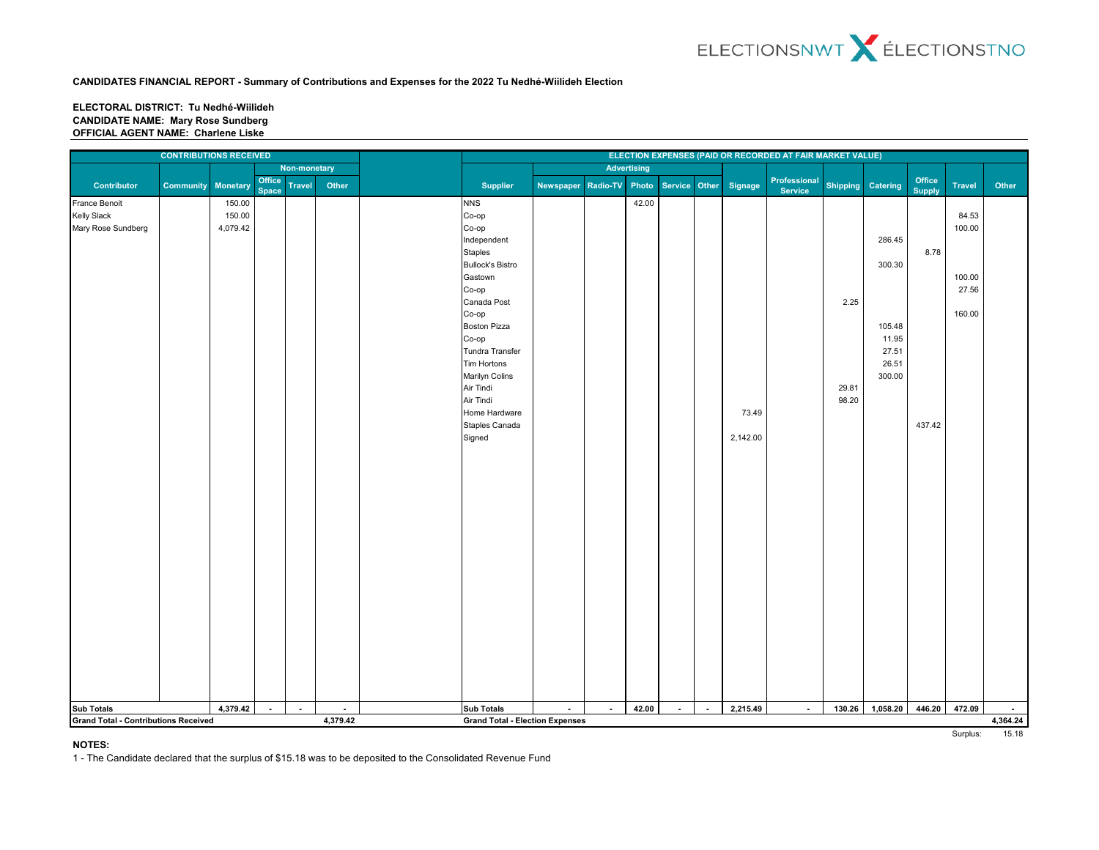#### **ELECTORAL DISTRICT: Tu Nedhé-Wiilideh CANDIDATE NAME: Mary Rose Sundberg OFFICIAL AGENT NAME: Charlene Liske**

| <b>CONTRIBUTIONS RECEIVED</b> |                                             |                 |                        |               |                            |  |                                                             |           |                 |                    |               |        |          | ELECTION EXPENSES (PAID OR RECORDED AT FAIR MARKET VALUE) |                 |          |                         |               |                    |  |
|-------------------------------|---------------------------------------------|-----------------|------------------------|---------------|----------------------------|--|-------------------------------------------------------------|-----------|-----------------|--------------------|---------------|--------|----------|-----------------------------------------------------------|-----------------|----------|-------------------------|---------------|--------------------|--|
|                               |                                             |                 |                        | Non-monetary  |                            |  |                                                             |           |                 | <b>Advertising</b> |               |        |          |                                                           |                 |          |                         |               |                    |  |
| Contributor                   | <b>Community</b>                            | <b>Monetary</b> | Office<br><b>Space</b> | <b>Travel</b> | Other                      |  | <b>Supplier</b>                                             | Newspaper | <b>Radio-TV</b> | Photo              | Service Other |        | Signage  | Professional<br>Service                                   | <b>Shipping</b> | Catering | Office<br><b>Supply</b> | <b>Travel</b> | Other              |  |
| France Benoit                 |                                             | 150.00          |                        |               |                            |  | <b>NNS</b>                                                  |           |                 | 42.00              |               |        |          |                                                           |                 |          |                         |               |                    |  |
| Kelly Slack                   |                                             | 150.00          |                        |               |                            |  | Co-op                                                       |           |                 |                    |               |        |          |                                                           |                 |          |                         | 84.53         |                    |  |
| Mary Rose Sundberg            |                                             | 4,079.42        |                        |               |                            |  | Co-op                                                       |           |                 |                    |               |        |          |                                                           |                 |          |                         | 100.00        |                    |  |
|                               |                                             |                 |                        |               |                            |  | Independent                                                 |           |                 |                    |               |        |          |                                                           |                 | 286.45   |                         |               |                    |  |
|                               |                                             |                 |                        |               |                            |  | Staples                                                     |           |                 |                    |               |        |          |                                                           |                 |          | 8.78                    |               |                    |  |
|                               |                                             |                 |                        |               |                            |  | <b>Bullock's Bistro</b>                                     |           |                 |                    |               |        |          |                                                           |                 | 300.30   |                         |               |                    |  |
|                               |                                             |                 |                        |               |                            |  | Gastown                                                     |           |                 |                    |               |        |          |                                                           |                 |          |                         | 100.00        |                    |  |
|                               |                                             |                 |                        |               |                            |  | Co-op                                                       |           |                 |                    |               |        |          |                                                           |                 |          |                         | 27.56         |                    |  |
|                               |                                             |                 |                        |               |                            |  | Canada Post                                                 |           |                 |                    |               |        |          |                                                           | 2.25            |          |                         |               |                    |  |
|                               |                                             |                 |                        |               |                            |  | Co-op                                                       |           |                 |                    |               |        |          |                                                           |                 |          |                         | 160.00        |                    |  |
|                               |                                             |                 |                        |               |                            |  | <b>Boston Pizza</b>                                         |           |                 |                    |               |        |          |                                                           |                 | 105.48   |                         |               |                    |  |
|                               |                                             |                 |                        |               |                            |  | Co-op                                                       |           |                 |                    |               |        |          |                                                           |                 | 11.95    |                         |               |                    |  |
|                               |                                             |                 |                        |               |                            |  | Tundra Transfer                                             |           |                 |                    |               |        |          |                                                           |                 | 27.51    |                         |               |                    |  |
|                               |                                             |                 |                        |               |                            |  | Tim Hortons                                                 |           |                 |                    |               |        |          |                                                           |                 | 26.51    |                         |               |                    |  |
|                               |                                             |                 |                        |               |                            |  | Marilyn Colins                                              |           |                 |                    |               |        |          |                                                           |                 | 300.00   |                         |               |                    |  |
|                               |                                             |                 |                        |               |                            |  | Air Tindi                                                   |           |                 |                    |               |        |          |                                                           | 29.81           |          |                         |               |                    |  |
|                               |                                             |                 |                        |               |                            |  | Air Tindi                                                   |           |                 |                    |               |        |          |                                                           | 98.20           |          |                         |               |                    |  |
|                               |                                             |                 |                        |               |                            |  | Home Hardware<br>Staples Canada                             |           |                 |                    |               |        | 73.49    |                                                           |                 |          | 437.42                  |               |                    |  |
|                               |                                             |                 |                        |               |                            |  | Signed                                                      |           |                 |                    |               |        | 2,142.00 |                                                           |                 |          |                         |               |                    |  |
|                               |                                             |                 |                        |               |                            |  |                                                             |           |                 |                    |               |        |          |                                                           |                 |          |                         |               |                    |  |
|                               |                                             |                 |                        |               |                            |  |                                                             |           |                 |                    |               |        |          |                                                           |                 |          |                         |               |                    |  |
|                               |                                             |                 |                        |               |                            |  |                                                             |           |                 |                    |               |        |          |                                                           |                 |          |                         |               |                    |  |
|                               |                                             |                 |                        |               |                            |  |                                                             |           |                 |                    |               |        |          |                                                           |                 |          |                         |               |                    |  |
|                               |                                             |                 |                        |               |                            |  |                                                             |           |                 |                    |               |        |          |                                                           |                 |          |                         |               |                    |  |
|                               |                                             |                 |                        |               |                            |  |                                                             |           |                 |                    |               |        |          |                                                           |                 |          |                         |               |                    |  |
|                               |                                             |                 |                        |               |                            |  |                                                             |           |                 |                    |               |        |          |                                                           |                 |          |                         |               |                    |  |
|                               |                                             |                 |                        |               |                            |  |                                                             |           |                 |                    |               |        |          |                                                           |                 |          |                         |               |                    |  |
|                               |                                             |                 |                        |               |                            |  |                                                             |           |                 |                    |               |        |          |                                                           |                 |          |                         |               |                    |  |
|                               |                                             |                 |                        |               |                            |  |                                                             |           |                 |                    |               |        |          |                                                           |                 |          |                         |               |                    |  |
|                               |                                             |                 |                        |               |                            |  |                                                             |           |                 |                    |               |        |          |                                                           |                 |          |                         |               |                    |  |
|                               |                                             |                 |                        |               |                            |  |                                                             |           |                 |                    |               |        |          |                                                           |                 |          |                         |               |                    |  |
|                               |                                             |                 |                        |               |                            |  |                                                             |           |                 |                    |               |        |          |                                                           |                 |          |                         |               |                    |  |
|                               |                                             |                 |                        |               |                            |  |                                                             |           |                 |                    |               |        |          |                                                           |                 |          |                         |               |                    |  |
|                               |                                             |                 |                        |               |                            |  |                                                             |           |                 |                    |               |        |          |                                                           |                 |          |                         |               |                    |  |
|                               |                                             |                 |                        |               |                            |  |                                                             |           |                 |                    |               |        |          |                                                           |                 |          |                         |               |                    |  |
|                               |                                             |                 |                        |               |                            |  |                                                             |           |                 |                    |               |        |          |                                                           |                 |          |                         |               |                    |  |
|                               |                                             |                 |                        |               |                            |  |                                                             |           |                 |                    |               |        |          |                                                           |                 |          |                         |               |                    |  |
|                               |                                             |                 |                        |               |                            |  |                                                             |           |                 |                    |               |        |          |                                                           |                 |          |                         |               |                    |  |
|                               |                                             |                 |                        |               |                            |  |                                                             |           |                 |                    |               |        |          |                                                           |                 |          |                         |               |                    |  |
|                               |                                             | 4,379.42        | $\sim$                 |               |                            |  |                                                             |           |                 | 42.00              |               |        | 2,215.49 |                                                           |                 | 1,058.20 | 446.20                  | 472.09        |                    |  |
| <b>Sub Totals</b>             |                                             |                 |                        | ÷.            | $\blacksquare$<br>4,379.42 |  | <b>Sub Totals</b><br><b>Grand Total - Election Expenses</b> | $\sim$    | $\sim$          |                    | $\sim$        | $\sim$ |          | $\sim$                                                    | 130.26          |          |                         |               | $\sim$<br>4,364.24 |  |
|                               | <b>Grand Total - Contributions Received</b> |                 |                        |               |                            |  |                                                             |           |                 |                    |               |        |          |                                                           |                 |          |                         |               |                    |  |

# **NOTES:**

1 - The Candidate declared that the surplus of \$15.18 was to be deposited to the Consolidated Revenue Fund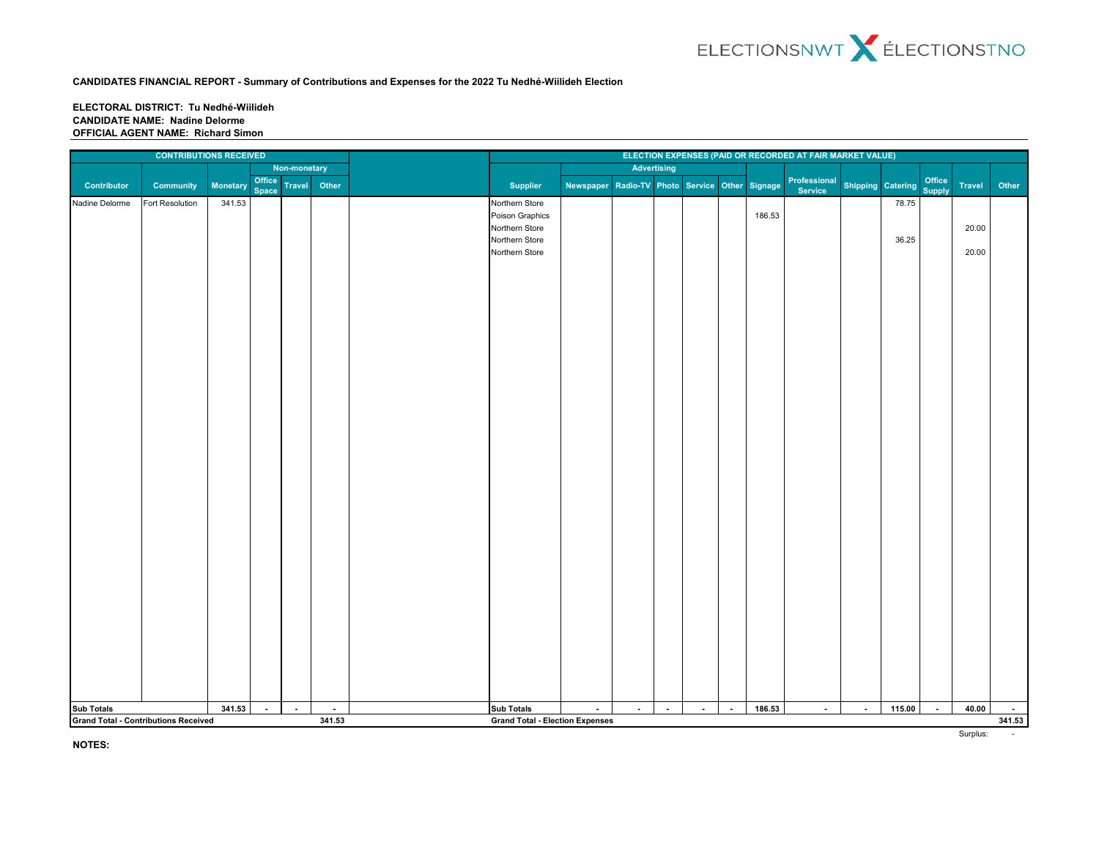**ELECTORAL DISTRICT: Tu Nedhé-Wiilideh CANDIDATE NAME: Nadine Delorme OFFICIAL AGENT NAME: Richard Simon**

|                | <b>CONTRIBUTIONS RECEIVED</b>                                |          |                        |               |                                        | ELECTION EXPENSES (PAID OR RECORDED AT FAIR MARKET VALUE)                               |           |                                      |                    |        |                |        |                         |                   |                |                         |                |        |
|----------------|--------------------------------------------------------------|----------|------------------------|---------------|----------------------------------------|-----------------------------------------------------------------------------------------|-----------|--------------------------------------|--------------------|--------|----------------|--------|-------------------------|-------------------|----------------|-------------------------|----------------|--------|
|                |                                                              |          |                        | Non-monetary  |                                        |                                                                                         |           |                                      | <b>Advertising</b> |        |                |        |                         |                   |                |                         |                |        |
| Contributor    | <b>Community</b>                                             | Monetary | Office<br><b>Space</b> | <b>Travel</b> | Other                                  | <b>Supplier</b>                                                                         | Newspaper | Radio-TV Photo Service Other Signage |                    |        |                |        | Professional<br>Service | Shipping Catering |                | Office<br><b>Supply</b> | Travel         | Other  |
| Nadine Delorme | Fort Resolution                                              | 341.53   |                        |               |                                        | Northern Store<br>Poison Graphics<br>Northern Store<br>Northern Store<br>Northern Store |           |                                      |                    |        |                | 186.53 |                         |                   | 78.75<br>36.25 |                         | 20.00<br>20.00 |        |
|                |                                                              | 341.53   | $\sim$                 | $\sim$        |                                        | Sub Totals                                                                              | $\sim$    | $\sim$                               | $\blacksquare$     | $\sim$ | $\blacksquare$ | 186.53 | $\sim$                  | $\blacksquare$    | 115.00         | $\sim$                  | 40.00          | $\sim$ |
|                | Sub Totals<br>Grand Total - Contributions Received<br>$\sim$ |          |                        |               | <b>Grand Total - Election Expenses</b> |                                                                                         |           |                                      |                    |        |                |        |                         |                   |                |                         | 341.53         |        |
|                | 341.53                                                       |          |                        |               |                                        |                                                                                         |           |                                      |                    |        |                |        |                         |                   |                |                         |                |        |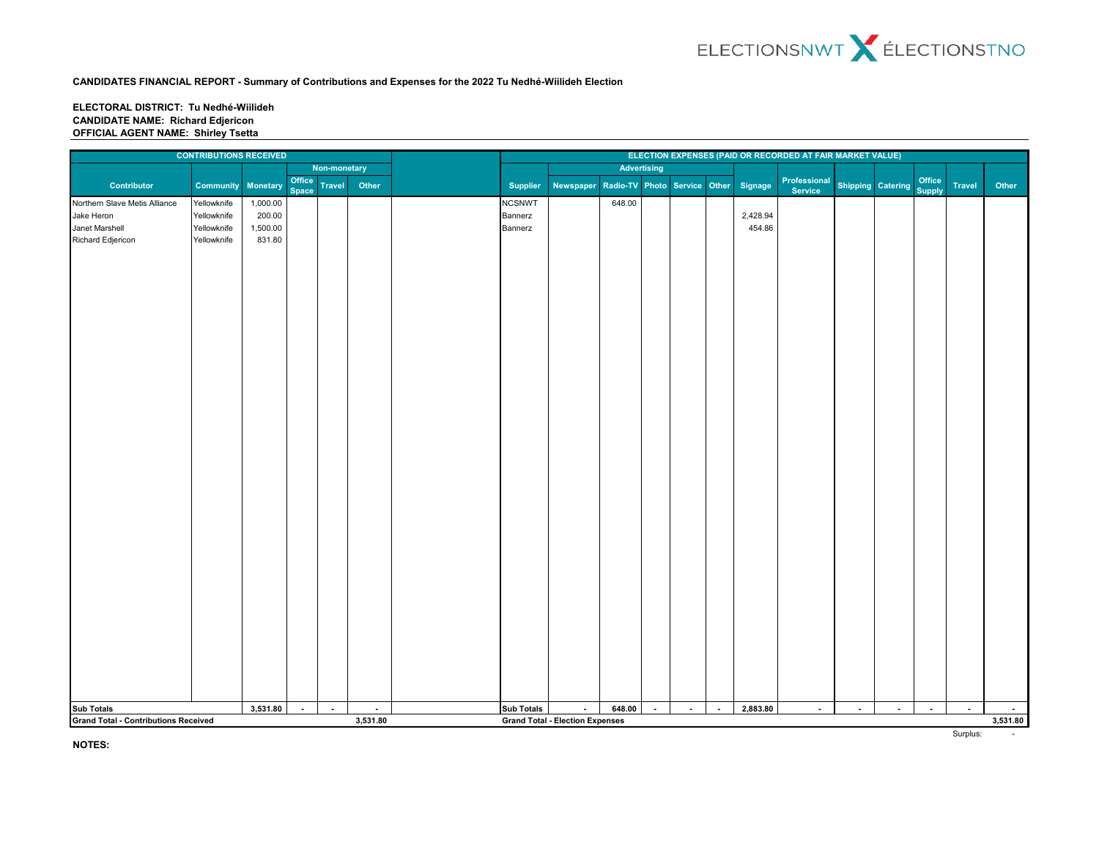### **ELECTORAL DISTRICT: Tu Nedhé-Wiilideh CANDIDATE NAME: Richard Edjericon OFFICIAL AGENT NAME: Shirley Tsetta**

|                                             | <b>CONTRIBUTIONS RECEIVED</b> |                    |                        |               |          |                   |                                        |        |        |        |                          | ELECTION EXPENSES (PAID OR RECORDED AT FAIR MARKET VALUE) |                         |                          |        |                         |        |          |  |
|---------------------------------------------|-------------------------------|--------------------|------------------------|---------------|----------|-------------------|----------------------------------------|--------|--------|--------|--------------------------|-----------------------------------------------------------|-------------------------|--------------------------|--------|-------------------------|--------|----------|--|
|                                             |                               |                    |                        | Non-monetary  |          | Advertising       |                                        |        |        |        |                          |                                                           |                         |                          |        |                         |        |          |  |
| Contributor                                 | Community                     | Monetary           | Office<br><b>Space</b> | <b>Travel</b> | Other    | <b>Supplier</b>   | Newspaper Radio-TV                     |        |        |        |                          | Photo Service Other Signage                               | Professional<br>Service | <b>Shipping Catering</b> |        | Office<br><b>Supply</b> | Travel | Other    |  |
| Northern Slave Metis Alliance               | Yellowknife                   | 1,000.00           |                        |               |          | <b>NCSNWT</b>     |                                        | 648.00 |        |        |                          |                                                           |                         |                          |        |                         |        |          |  |
| Jake Heron                                  | Yellowknife                   | 200.00             |                        |               |          | Bannerz           |                                        |        |        |        |                          | 2,428.94                                                  |                         |                          |        |                         |        |          |  |
| Janet Marshell                              | Yellowknife                   | 1,500.00<br>831.80 |                        |               |          | Bannerz           |                                        |        |        |        |                          | 454.86                                                    |                         |                          |        |                         |        |          |  |
| Richard Edjericon                           |                               |                    |                        |               |          |                   |                                        |        |        |        |                          |                                                           |                         |                          |        |                         |        |          |  |
|                                             |                               |                    |                        | $\sim$        |          |                   |                                        |        |        |        |                          | 2,883.80                                                  |                         |                          |        |                         |        | $\sim$   |  |
| <b>Sub Totals</b>                           |                               | 3,531.80           | $\sim$                 |               | $\sim$   | <b>Sub Totals</b> | $\sim$                                 | 648.00 | $\sim$ | $\sim$ | $\overline{\phantom{a}}$ |                                                           | $\blacksquare$          | $\sim$                   | $\sim$ | $\sim$                  | $\sim$ |          |  |
| <b>Grand Total - Contributions Received</b> |                               |                    |                        |               | 3,531.80 |                   | <b>Grand Total - Election Expenses</b> |        |        |        |                          |                                                           |                         |                          |        |                         |        | 3,531.80 |  |